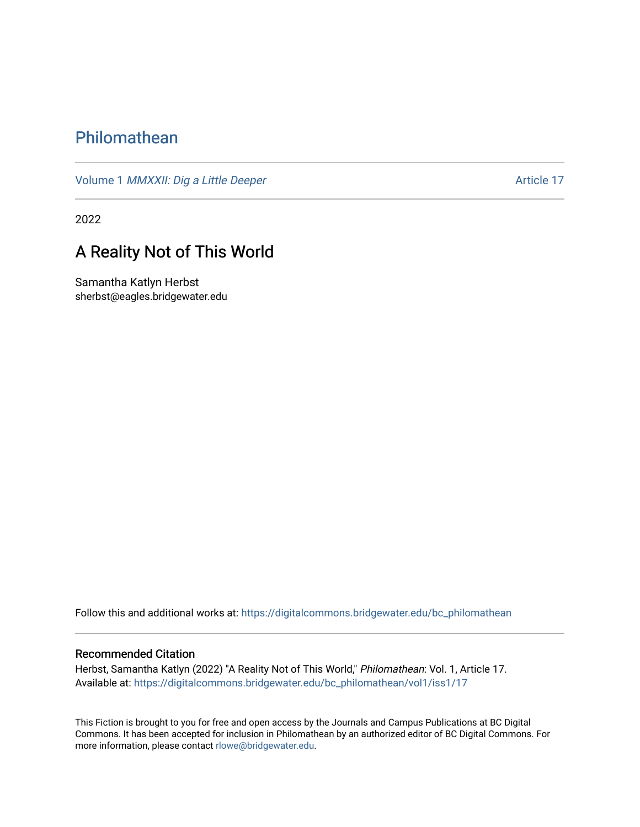## [Philomathean](https://digitalcommons.bridgewater.edu/bc_philomathean)

Volume 1 *[MMXXII: Dig a Little Deeper](https://digitalcommons.bridgewater.edu/bc_philomathean/vol1)* Article 17

2022

## A Reality Not of This World

Samantha Katlyn Herbst sherbst@eagles.bridgewater.edu

Follow this and additional works at: [https://digitalcommons.bridgewater.edu/bc\\_philomathean](https://digitalcommons.bridgewater.edu/bc_philomathean?utm_source=digitalcommons.bridgewater.edu%2Fbc_philomathean%2Fvol1%2Fiss1%2F17&utm_medium=PDF&utm_campaign=PDFCoverPages) 

## Recommended Citation

Herbst, Samantha Katlyn (2022) "A Reality Not of This World," Philomathean: Vol. 1, Article 17. Available at: [https://digitalcommons.bridgewater.edu/bc\\_philomathean/vol1/iss1/17](https://digitalcommons.bridgewater.edu/bc_philomathean/vol1/iss1/17?utm_source=digitalcommons.bridgewater.edu%2Fbc_philomathean%2Fvol1%2Fiss1%2F17&utm_medium=PDF&utm_campaign=PDFCoverPages)

This Fiction is brought to you for free and open access by the Journals and Campus Publications at BC Digital Commons. It has been accepted for inclusion in Philomathean by an authorized editor of BC Digital Commons. For more information, please contact [rlowe@bridgewater.edu.](mailto:rlowe@bridgewater.edu)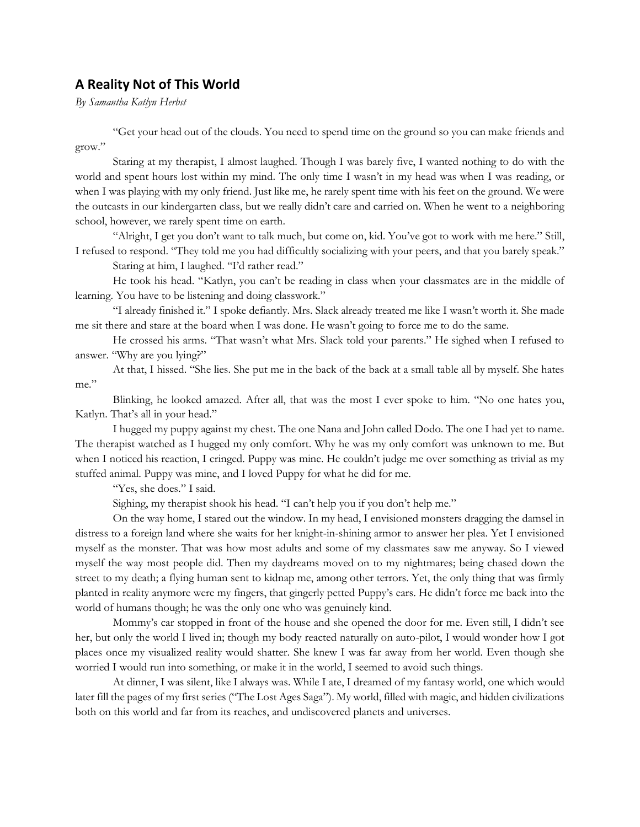## **A Reality Not of This World**

*By Samantha Katlyn Herbst*

"Get your head out of the clouds. You need to spend time on the ground so you can make friends and grow."

Staring at my therapist, I almost laughed. Though I was barely five, I wanted nothing to do with the world and spent hours lost within my mind. The only time I wasn't in my head was when I was reading, or when I was playing with my only friend. Just like me, he rarely spent time with his feet on the ground. We were the outcasts in our kindergarten class, but we really didn't care and carried on. When he went to a neighboring school, however, we rarely spent time on earth.

"Alright, I get you don't want to talk much, but come on, kid. You've got to work with me here." Still, I refused to respond. "They told me you had difficultly socializing with your peers, and that you barely speak."

Staring at him, I laughed. "I'd rather read."

He took his head. "Katlyn, you can't be reading in class when your classmates are in the middle of learning. You have to be listening and doing classwork."

"I already finished it." I spoke defiantly. Mrs. Slack already treated me like I wasn't worth it. She made me sit there and stare at the board when I was done. He wasn't going to force me to do the same.

He crossed his arms. "That wasn't what Mrs. Slack told your parents." He sighed when I refused to answer. "Why are you lying?"

At that, I hissed. "She lies. She put me in the back of the back at a small table all by myself. She hates me."

Blinking, he looked amazed. After all, that was the most I ever spoke to him. "No one hates you, Katlyn. That's all in your head."

I hugged my puppy against my chest. The one Nana and John called Dodo. The one I had yet to name. The therapist watched as I hugged my only comfort. Why he was my only comfort was unknown to me. But when I noticed his reaction, I cringed. Puppy was mine. He couldn't judge me over something as trivial as my stuffed animal. Puppy was mine, and I loved Puppy for what he did for me.

"Yes, she does." I said.

Sighing, my therapist shook his head. "I can't help you if you don't help me."

On the way home, I stared out the window. In my head, I envisioned monsters dragging the damsel in distress to a foreign land where she waits for her knight-in-shining armor to answer her plea. Yet I envisioned myself as the monster. That was how most adults and some of my classmates saw me anyway. So I viewed myself the way most people did. Then my daydreams moved on to my nightmares; being chased down the street to my death; a flying human sent to kidnap me, among other terrors. Yet, the only thing that was firmly planted in reality anymore were my fingers, that gingerly petted Puppy's ears. He didn't force me back into the world of humans though; he was the only one who was genuinely kind.

Mommy's car stopped in front of the house and she opened the door for me. Even still, I didn't see her, but only the world I lived in; though my body reacted naturally on auto-pilot, I would wonder how I got places once my visualized reality would shatter. She knew I was far away from her world. Even though she worried I would run into something, or make it in the world, I seemed to avoid such things.

At dinner, I was silent, like I always was. While I ate, I dreamed of my fantasy world, one which would later fill the pages of my first series ("The Lost Ages Saga"). My world, filled with magic, and hidden civilizations both on this world and far from its reaches, and undiscovered planets and universes.